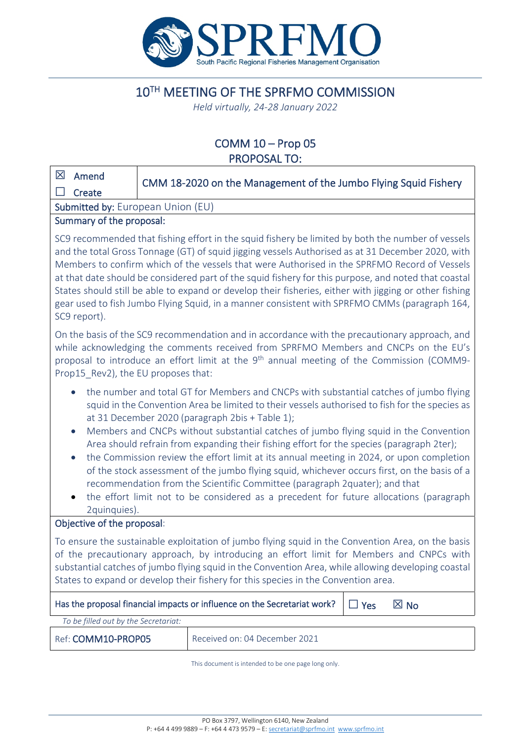

# 10TH MEETING OF THE SPRFMO COMMISSION

*Held virtually, 24-28 January 2022*

# COMM 10 – Prop 05 PROPOSAL TO:

| ⊠<br>Amend                                                                                                                                                                                                                                                                                                                                                                                                                                                                                                                                                                                                                                                                                                                                                                                                                                                   | CMM 18-2020 on the Management of the Jumbo Flying Squid Fishery |  |  |  |  |  |
|--------------------------------------------------------------------------------------------------------------------------------------------------------------------------------------------------------------------------------------------------------------------------------------------------------------------------------------------------------------------------------------------------------------------------------------------------------------------------------------------------------------------------------------------------------------------------------------------------------------------------------------------------------------------------------------------------------------------------------------------------------------------------------------------------------------------------------------------------------------|-----------------------------------------------------------------|--|--|--|--|--|
| - 1<br>Create                                                                                                                                                                                                                                                                                                                                                                                                                                                                                                                                                                                                                                                                                                                                                                                                                                                |                                                                 |  |  |  |  |  |
| Submitted by: European Union (EU)                                                                                                                                                                                                                                                                                                                                                                                                                                                                                                                                                                                                                                                                                                                                                                                                                            |                                                                 |  |  |  |  |  |
| Summary of the proposal:<br>SC9 recommended that fishing effort in the squid fishery be limited by both the number of vessels<br>and the total Gross Tonnage (GT) of squid jigging vessels Authorised as at 31 December 2020, with<br>Members to confirm which of the vessels that were Authorised in the SPRFMO Record of Vessels<br>at that date should be considered part of the squid fishery for this purpose, and noted that coastal<br>States should still be able to expand or develop their fisheries, either with jigging or other fishing<br>gear used to fish Jumbo Flying Squid, in a manner consistent with SPRFMO CMMs (paragraph 164,<br>SC9 report).                                                                                                                                                                                        |                                                                 |  |  |  |  |  |
| On the basis of the SC9 recommendation and in accordance with the precautionary approach, and<br>while acknowledging the comments received from SPRFMO Members and CNCPs on the EU's<br>proposal to introduce an effort limit at the 9 <sup>th</sup> annual meeting of the Commission (COMM9-<br>Prop15 Rev2), the EU proposes that:                                                                                                                                                                                                                                                                                                                                                                                                                                                                                                                         |                                                                 |  |  |  |  |  |
| the number and total GT for Members and CNCPs with substantial catches of jumbo flying<br>$\bullet$<br>squid in the Convention Area be limited to their vessels authorised to fish for the species as<br>at 31 December 2020 (paragraph 2bis + Table 1);<br>Members and CNCPs without substantial catches of jumbo flying squid in the Convention<br>$\bullet$<br>Area should refrain from expanding their fishing effort for the species (paragraph 2ter);<br>the Commission review the effort limit at its annual meeting in 2024, or upon completion<br>$\bullet$<br>of the stock assessment of the jumbo flying squid, whichever occurs first, on the basis of a<br>recommendation from the Scientific Committee (paragraph 2quater); and that<br>the effort limit not to be considered as a precedent for future allocations (paragraph<br>2quinquies). |                                                                 |  |  |  |  |  |
| Objective of the proposal:                                                                                                                                                                                                                                                                                                                                                                                                                                                                                                                                                                                                                                                                                                                                                                                                                                   |                                                                 |  |  |  |  |  |
| To ensure the sustainable exploitation of jumbo flying squid in the Convention Area, on the basis<br>of the precautionary approach, by introducing an effort limit for Members and CNPCs with<br>substantial catches of jumbo flying squid in the Convention Area, while allowing developing coastal<br>States to expand or develop their fishery for this species in the Convention area.                                                                                                                                                                                                                                                                                                                                                                                                                                                                   |                                                                 |  |  |  |  |  |
| Has the proposal financial impacts or influence on the Secretariat work?<br>$\boxtimes$ No<br>$\Box$ Yes                                                                                                                                                                                                                                                                                                                                                                                                                                                                                                                                                                                                                                                                                                                                                     |                                                                 |  |  |  |  |  |
| To be filled out by the Secretariat:                                                                                                                                                                                                                                                                                                                                                                                                                                                                                                                                                                                                                                                                                                                                                                                                                         |                                                                 |  |  |  |  |  |
| Ref: COMM10-PROP05<br>Received on: 04 December 2021                                                                                                                                                                                                                                                                                                                                                                                                                                                                                                                                                                                                                                                                                                                                                                                                          |                                                                 |  |  |  |  |  |

This document is intended to be one page long only.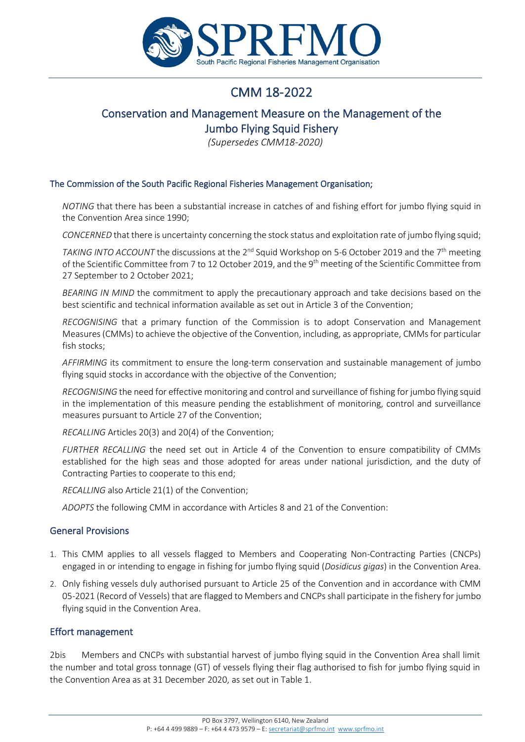

# CMM 18-2022

# Conservation and Management Measure on the Management of the Jumbo Flying Squid Fishery

*(Supersedes CMM18-2020)*

#### The Commission of the South Pacific Regional Fisheries Management Organisation;

*NOTING* that there has been a substantial increase in catches of and fishing effort for jumbo flying squid in the Convention Area since 1990;

*CONCERNED* that there is uncertainty concerning the stock status and exploitation rate of jumbo flying squid;

*TAKING INTO ACCOUNT* the discussions at the 2<sup>nd</sup> Squid Workshop on 5-6 October 2019 and the 7<sup>th</sup> meeting of the Scientific Committee from 7 to 12 October 2019, and the 9<sup>th</sup> meeting of the Scientific Committee from 27 September to 2 October 2021;

*BEARING IN MIND* the commitment to apply the precautionary approach and take decisions based on the best scientific and technical information available as set out in Article 3 of the Convention;

*RECOGNISING* that a primary function of the Commission is to adopt Conservation and Management Measures (CMMs) to achieve the objective of the Convention, including, as appropriate, CMMs for particular fish stocks;

*AFFIRMING* its commitment to ensure the long-term conservation and sustainable management of jumbo flying squid stocks in accordance with the objective of the Convention;

*RECOGNISING* the need for effective monitoring and control and surveillance of fishing for jumbo flying squid in the implementation of this measure pending the establishment of monitoring, control and surveillance measures pursuant to Article 27 of the Convention;

*RECALLING* Articles 20(3) and 20(4) of the Convention;

*FURTHER RECALLING* the need set out in Article 4 of the Convention to ensure compatibility of CMMs established for the high seas and those adopted for areas under national jurisdiction, and the duty of Contracting Parties to cooperate to this end;

*RECALLING* also Article 21(1) of the Convention;

*ADOPTS* the following CMM in accordance with Articles 8 and 21 of the Convention:

### General Provisions

- 1. This CMM applies to all vessels flagged to Members and Cooperating Non-Contracting Parties (CNCPs) engaged in or intending to engage in fishing for jumbo flying squid (*Dosidicus gigas*) in the Convention Area.
- 2. Only fishing vessels duly authorised pursuant to Article 25 of the Convention and in accordance with CMM 05-2021 (Record of Vessels) that are flagged to Members and CNCPs shall participate in the fishery for jumbo flying squid in the Convention Area.

### Effort management

2bis Members and CNCPs with substantial harvest of jumbo flying squid in the Convention Area shall limit the number and total gross tonnage (GT) of vessels flying their flag authorised to fish for jumbo flying squid in the Convention Area as at 31 December 2020, as set out in Table 1.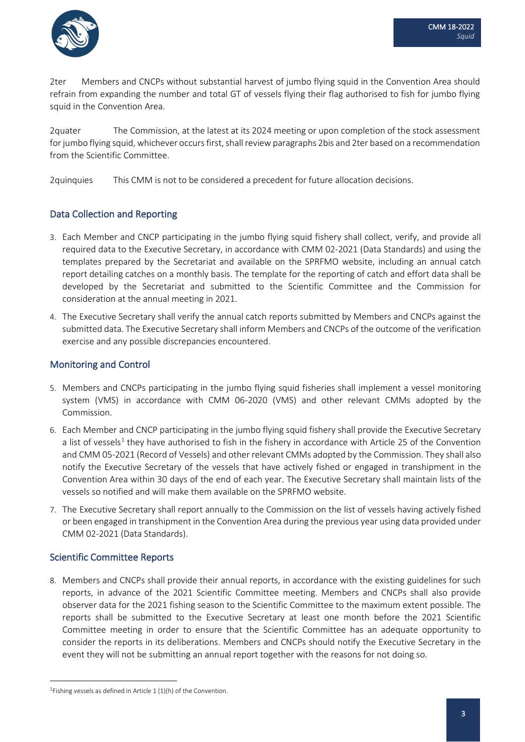

2ter Members and CNCPs without substantial harvest of jumbo flying squid in the Convention Area should refrain from expanding the number and total GT of vessels flying their flag authorised to fish for jumbo flying squid in the Convention Area.

2quater The Commission, at the latest at its 2024 meeting or upon completion of the stock assessment for jumbo flying squid, whichever occurs first, shall reviewparagraphs 2bis and 2ter based on a recommendation from the Scientific Committee.

2quinquies This CMM is not to be considered a precedent for future allocation decisions.

# Data Collection and Reporting

- 3. Each Member and CNCP participating in the jumbo flying squid fishery shall collect, verify, and provide all required data to the Executive Secretary, in accordance with CMM 02-2021 (Data Standards) and using the templates prepared by the Secretariat and available on the SPRFMO website, including an annual catch report detailing catches on a monthly basis. The template for the reporting of catch and effort data shall be developed by the Secretariat and submitted to the Scientific Committee and the Commission for consideration at the annual meeting in 2021.
- 4. The Executive Secretary shall verify the annual catch reports submitted by Members and CNCPs against the submitted data. The Executive Secretary shall inform Members and CNCPs of the outcome of the verification exercise and any possible discrepancies encountered.

# Monitoring and Control

- 5. Members and CNCPs participating in the jumbo flying squid fisheries shall implement a vessel monitoring system (VMS) in accordance with CMM 06-2020 (VMS) and other relevant CMMs adopted by the Commission.
- 6. Each Member and CNCP participating in the jumbo flying squid fishery shall provide the Executive Secretary a list of vessels<sup>[1](#page-2-0)</sup> they have authorised to fish in the fishery in accordance with Article 25 of the Convention and CMM 05-2021 (Record of Vessels) and other relevant CMMs adopted by the Commission. They shall also notify the Executive Secretary of the vessels that have actively fished or engaged in transhipment in the Convention Area within 30 days of the end of each year. The Executive Secretary shall maintain lists of the vessels so notified and will make them available on the SPRFMO website.
- 7. The Executive Secretary shall report annually to the Commission on the list of vessels having actively fished or been engaged in transhipment in the Convention Area during the previous year using data provided under CMM 02-2021 (Data Standards).

# Scientific Committee Reports

8. Members and CNCPs shall provide their annual reports, in accordance with the existing guidelines for such reports, in advance of the 2021 Scientific Committee meeting. Members and CNCPs shall also provide observer data for the 2021 fishing season to the Scientific Committee to the maximum extent possible. The reports shall be submitted to the Executive Secretary at least one month before the 2021 Scientific Committee meeting in order to ensure that the Scientific Committee has an adequate opportunity to consider the reports in its deliberations. Members and CNCPs should notify the Executive Secretary in the event they will not be submitting an annual report together with the reasons for not doing so.

<span id="page-2-0"></span><sup>&</sup>lt;sup>1</sup>Fishing vessels as defined in Article 1 (1)(h) of the Convention.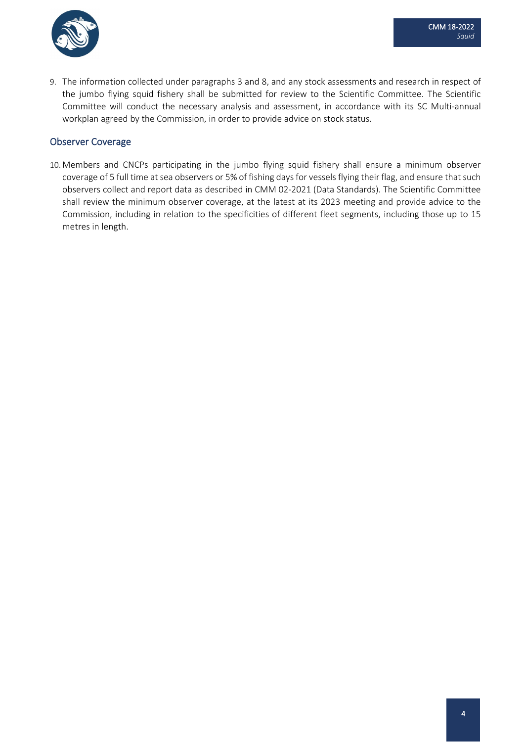

9. The information collected under paragraphs 3 and 8, and any stock assessments and research in respect of the jumbo flying squid fishery shall be submitted for review to the Scientific Committee. The Scientific Committee will conduct the necessary analysis and assessment, in accordance with its SC Multi-annual workplan agreed by the Commission, in order to provide advice on stock status.

### Observer Coverage

10. Members and CNCPs participating in the jumbo flying squid fishery shall ensure a minimum observer coverage of 5 full time at sea observers or 5% of fishing days for vessels flying their flag, and ensure that such observers collect and report data as described in CMM 02-2021 (Data Standards). The Scientific Committee shall review the minimum observer coverage, at the latest at its 2023 meeting and provide advice to the Commission, including in relation to the specificities of different fleet segments, including those up to 15 metres in length.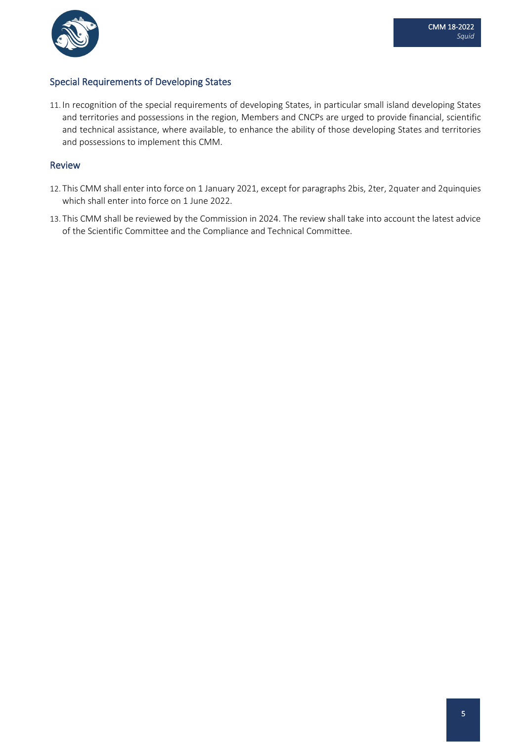

## Special Requirements of Developing States

11. In recognition of the special requirements of developing States, in particular small island developing States and territories and possessions in the region, Members and CNCPs are urged to provide financial, scientific and technical assistance, where available, to enhance the ability of those developing States and territories and possessions to implement this CMM.

### Review

- 12. This CMM shall enter into force on 1 January 2021, except for paragraphs 2bis, 2ter, 2quater and 2quinquies which shall enter into force on 1 June 2022.
- 13. This CMM shall be reviewed by the Commission in 2024. The review shall take into account the latest advice of the Scientific Committee and the Compliance and Technical Committee.